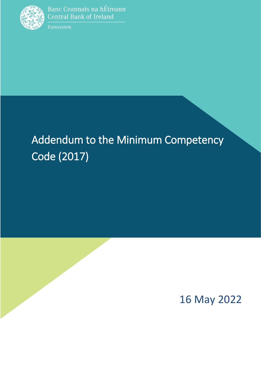

٦

Eurosystem

# Addendum to the Minimum Competency Code (2017)



16 May 2022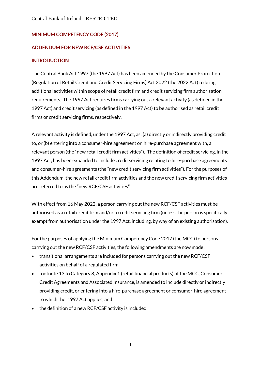#### **MINIMUM COMPETENCY CODE (2017)**

#### **ADDENDUM FOR NEW RCF/CSF ACTIVITIES**

#### **INTRODUCTION**

The Central Bank Act 1997 (the 1997 Act) has been amended by the Consumer Protection (Regulation of Retail Credit and Credit Servicing Firms) Act 2022 (the 2022 Act) to bring additional activities within scope of retail credit firm and credit servicing firm authorisation requirements. The 1997 Act requires firms carrying out a relevant activity (as defined in the 1997 Act) and credit servicing (as defined in the 1997 Act) to be authorised as retail credit firms or credit servicing firms, respectively.

A relevant activity is defined, under the 1997 Act, as: (a) directly or indirectly providing credit to, or (b) entering into a consumer-hire agreement or hire-purchase agreement with, a relevant person (the "new retail credit firm activities"). The definition of credit servicing, in the 1997 Act, has been expanded to include credit servicing relating to hire-purchase agreements and consumer-hire agreements (the "new credit servicing firm activities"). For the purposes of this Addendum, the new retail credit firm activities and the new credit servicing firm activities are referred to as the "new RCF/CSF activities".

With effect from 16 May 2022, a person carrying out the new RCF/CSF activities must be authorised as a retail credit firm and/or a credit servicing firm (unless the person is specifically exempt from authorisation under the 1997 Act, including, by way of an existing authorisation).

For the purposes of applying the Minimum Competency Code 2017 (the MCC) to persons carrying out the new RCF/CSF activities, the following amendments are now made:

- transitional arrangements are included for persons carrying out the new RCF/CSF activities on behalf of a regulated firm,
- footnote 13 to Category 8, Appendix 1 (retail financial products) of the MCC, Consumer Credit Agreements and Associated Insurance, is amended to include directly or indirectly providing credit, or entering into a hire-purchase agreement or consumer-hire agreement to which the 1997 Act applies, and
- the definition of a new RCF/CSF activity is included.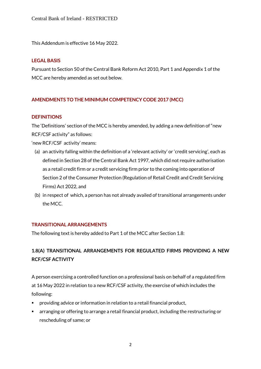This Addendum is effective 16 May 2022.

#### **LEGAL BASIS**

Pursuant to Section 50 of the Central Bank Reform Act 2010, Part 1 and Appendix 1 of the MCC are hereby amended as set out below.

# **AMENDMENTS TO THE MINIMUM COMPETENCY CODE 2017 (MCC)**

#### **DEFINITIONS**

The 'Definitions' section of the MCC is hereby amended, by adding a new definition of "new RCF/CSF activity" as follows:

'new RCF/CSF activity' means:

- (a) an activity falling within the definition of a 'relevant activity' or 'credit servicing', each as defined in Section 28 of the Central Bank Act 1997, which did not require authorisation as a retail credit firm or a credit servicing firm prior to the coming into operation of Section 2 of the Consumer Protection (Regulation of Retail Credit and Credit Servicing Firms) Act 2022, and
- (b) in respect of which, a person has not already availed of transitional arrangements under the MCC.

#### **TRANSITIONAL ARRANGEMENTS**

The following text is hereby added to Part 1 of the MCC after Section 1.8:

# **1.8(A) TRANSITIONAL ARRANGEMENTS FOR REGULATED FIRMS PROVIDING A NEW RCF/CSF ACTIVITY**

A person exercising a controlled function on a professional basis on behalf of a regulated firm at 16 May 2022 in relation to a new RCF/CSF activity, the exercise of which includes the following:

- providing advice or information in relation to a retail financial product,
- arranging or offering to arrange a retail financial product, including the restructuring or rescheduling of same; or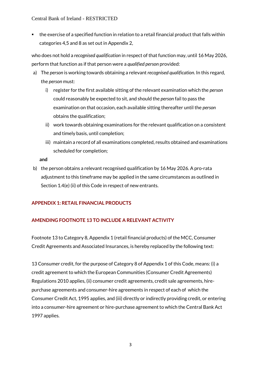Central Bank of Ireland - RESTRICTED

 the exercise of a specified function in relation to a retail financial product that falls within categories 4,5 and 8 as set out in Appendix 2,

who does not hold a *recognised qualification* in respect of that function may, until 16 May 2026, perform that function as if that person were a *qualified person* provided:

- a) The *person* is working towards obtaining a relevant *recognised qualification*. In this regard, the *person* must:
	- i) register for the first available sitting of the relevant examination which the *person*  could reasonably be expected to sit, and should the *person* fail to pass the examination on that occasion, each available sitting thereafter until the *person*  obtains the qualification;
	- ii) work towards obtaining examinations for the relevant qualification on a consistent and timely basis, until completion;
	- iii) maintain a record of all examinations completed, results obtained and examinations scheduled for completion;

**and**

b) the person obtains a relevant recognised qualification by 16 May 2026. A pro-rata adjustment to this timeframe may be applied in the same circumstances as outlined in Section 1.4(e) (ii) of this Code in respect of new entrants.

# **APPENDIX 1: RETAIL FINANCIAL PRODUCTS**

# **AMENDING FOOTNOTE 13 TO INCLUDE A RELEVANT ACTIVITY**

Footnote 13 to Category 8, Appendix 1 (retail financial products) of the MCC, Consumer Credit Agreements and Associated Insurances, is hereby replaced by the following text:

13 Consumer credit, for the purpose of Category 8 of Appendix 1 of this Code, means: (i) a credit agreement to which the European Communities (Consumer Credit Agreements) Regulations 2010 applies, (ii) consumer credit agreements, credit sale agreements, hirepurchase agreements and consumer-hire agreements in respect of each of which the Consumer Credit Act, 1995 applies, and (iii) directly or indirectly providing credit, or entering into a consumer-hire agreement or hire-purchase agreement to which the Central Bank Act 1997 applies.